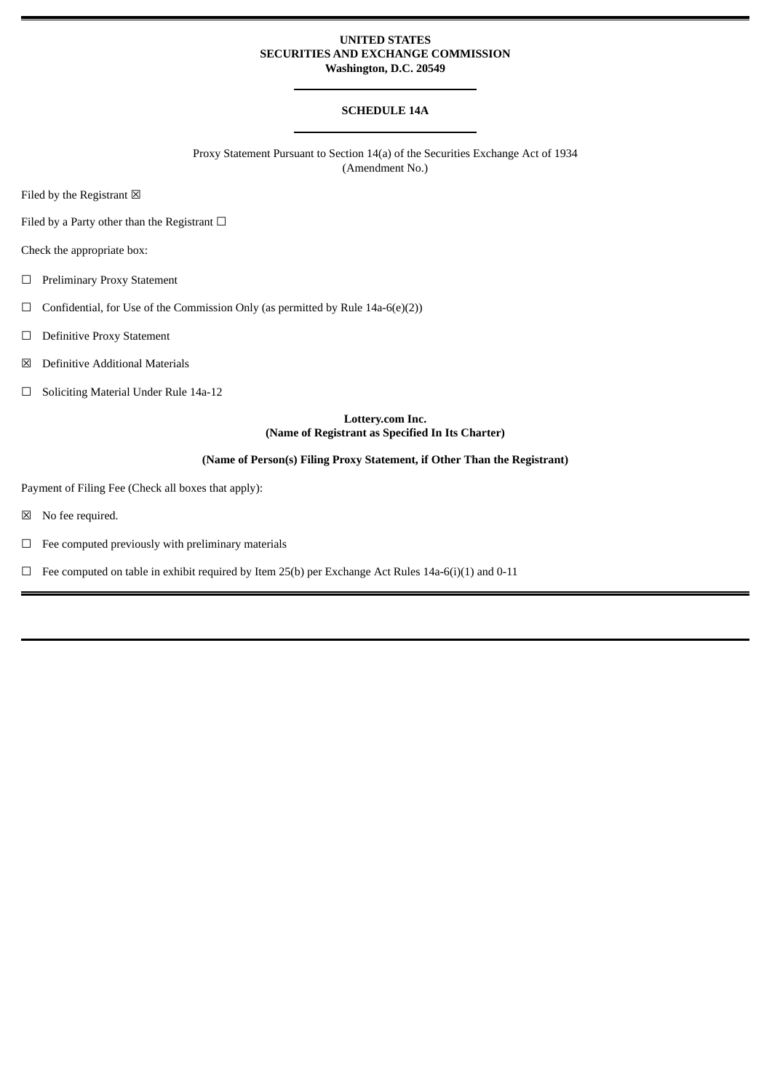### **UNITED STATES SECURITIES AND EXCHANGE COMMISSION Washington, D.C. 20549**

# **SCHEDULE 14A**

Proxy Statement Pursuant to Section 14(a) of the Securities Exchange Act of 1934 (Amendment No.)

Filed by the Registrant  $\boxtimes$ 

Filed by a Party other than the Registrant  $\Box$ 

Check the appropriate box:

- ☐ Preliminary Proxy Statement
- $\Box$  Confidential, for Use of the Commission Only (as permitted by Rule 14a-6(e)(2))
- ☐ Definitive Proxy Statement
- ☒ Definitive Additional Materials
- ☐ Soliciting Material Under Rule 14a-12

# **Lottery.com Inc. (Name of Registrant as Specified In Its Charter)**

## **(Name of Person(s) Filing Proxy Statement, if Other Than the Registrant)**

Payment of Filing Fee (Check all boxes that apply):

☒ No fee required.

 $\Box$  Fee computed previously with preliminary materials

 $\Box$  Fee computed on table in exhibit required by Item 25(b) per Exchange Act Rules 14a-6(i)(1) and 0-11